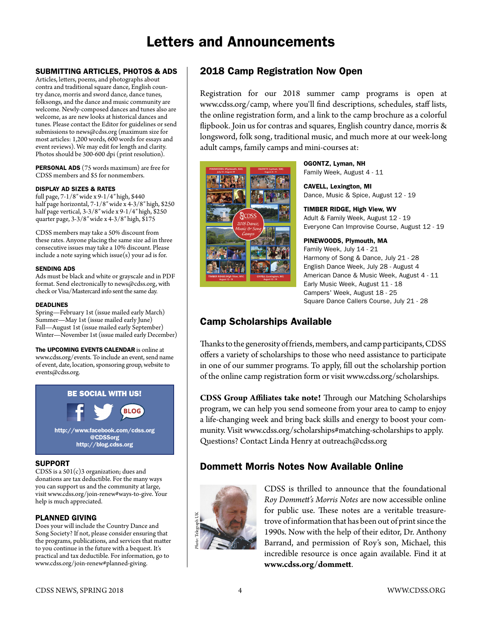# Letters and Announcements

## SUBMITTING ARTICLES, PHOTOS & ADS

Articles, letters, poems, and photographs about contra and traditional square dance, English country dance, morris and sword dance, dance tunes, folksongs, and the dance and music community are welcome. Newly-composed dances and tunes also are welcome, as are new looks at historical dances and tunes. Please contact the Editor for guidelines or send submissions to [news@cdss.org](mailto:news@cdss.org) (maximum size for most articles: 1,200 words, 600 words for essays and event reviews). We may edit for length and clarity. Photos should be 300-600 dpi (print resolution).

PERSONAL ADS (75 words maximum) are free for CDSS members and \$5 for nonmembers.

#### DISPLAY AD SIZES & RATES

full page, 7-1/8″ wide x 9-1/4″ high, \$440 half page horizontal, 7-1/8″ wide x 4-3/8″ high, \$250 half page vertical, 3-3/8″ wide x 9-1/4″ high, \$250 quarter page, 3-3/8″ wide x 4-3/8″ high, \$175

CDSS members may take a 50% discount from these rates. Anyone placing the same size ad in three consecutive issues may take a 10% discount. Please include a note saying which issue(s) your ad is for.

#### SENDING ADS

Ads must be black and white or grayscale and in PDF format. Send electronically to [news@cdss.org,](mailto:news@cdss.org) with check or Visa/Mastercard info sent the same day.

#### DEADLINES

Spring—February 1st (issue mailed early March) Summer—May 1st (issue mailed early June) Fall—August 1st (issue mailed early September) Winter—November 1st (issue mailed early December)

## The UPCOMING EVENTS CALENDAR is online at

www.cdss.org/events. To include an event, send name of event, date, location, sponsoring group, website to events@cdss.org.



#### SUPPORT

CDSS is a 501(c)3 organization; dues and donations are tax deductible. For the many ways you can support us and the community at large, visit [www.cdss.org/join-](http://www.cdss.org/join)renew#ways-to-give. Your help is much appreciated.

## PLANNED GIVING

Does your will include the Country Dance and Song Society? If not, please consider ensuring that the programs, publications, and services that matter to you continue in the future with a bequest. It's practical and tax deductible. For information, go to www.cdss.org/join-renew#planned-giving.

# 2018 Camp Registration Now Open

Registration for our 2018 summer camp programs is open at www.cdss.org/camp, where you'll find descriptions, schedules, staff lists, the online registration form, and a link to the camp brochure as a colorful flipbook. Join us for contras and squares, English country dance, morris & longsword, folk song, traditional music, and much more at our week-long adult camps, family camps and mini-courses at:



OGONTZ, Lyman, NH Family Week, August 4 - 11

CAVELL, Lexington, MI Dance, Music & Spice, August 12 - 19

TIMBER RIDGE, High View, WV Adult & Family Week, August 12 - 19 Everyone Can Improvise Course, August 12 - 19

### PINEWOODS, Plymouth, MA

Family Week, July 14 - 21 Harmony of Song & Dance, July 21 - 28 English Dance Week, July 28 - August 4 American Dance & Music Week, August 4 - 11 Early Music Week, August 11 - 18 Campers' Week, August 18 - 25 Square Dance Callers Course, July 21 - 28

# Camp Scholarships Available

Thanks to the generosity of friends, members, and camp participants, CDSS offers a variety of scholarships to those who need assistance to participate in one of our summer programs. To apply, fill out the scholarship portion of the online camp registration form or visit www.cdss.org/scholarships.

**CDSS Group Affiliates take note!** Through our Matching Scholarships program, we can help you send someone from your area to camp to enjoy a life-changing week and bring back skills and energy to boost your community. Visit www.cdss.org/scholarships#matching-scholarships to apply. Questions? Contact Linda Henry at outreach@cdss.org

# Dommett Morris Notes Now Available Online



CDSS is thrilled to announce that the foundational *Roy Dommett's Morris Notes* are now accessible online for public use. These notes are a veritable treasuretrove of information that has been out of print since the 1990s. Now with the help of their editor, Dr. Anthony Barrand, and permission of Roy's son, Michael, this incredible resource is once again available. Find it at **www.cdss.org/dommett**.